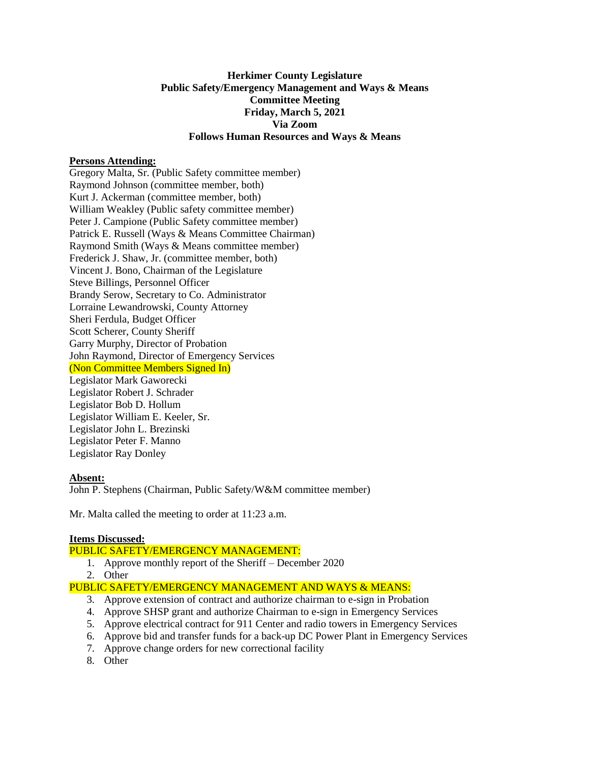# **Herkimer County Legislature Public Safety/Emergency Management and Ways & Means Committee Meeting Friday, March 5, 2021 Via Zoom Follows Human Resources and Ways & Means**

## **Persons Attending:**

Gregory Malta, Sr. (Public Safety committee member) Raymond Johnson (committee member, both) Kurt J. Ackerman (committee member, both) William Weakley (Public safety committee member) Peter J. Campione (Public Safety committee member) Patrick E. Russell (Ways & Means Committee Chairman) Raymond Smith (Ways & Means committee member) Frederick J. Shaw, Jr. (committee member, both) Vincent J. Bono, Chairman of the Legislature Steve Billings, Personnel Officer Brandy Serow, Secretary to Co. Administrator Lorraine Lewandrowski, County Attorney Sheri Ferdula, Budget Officer Scott Scherer, County Sheriff Garry Murphy, Director of Probation John Raymond, Director of Emergency Services (Non Committee Members Signed In) Legislator Mark Gaworecki Legislator Robert J. Schrader Legislator Bob D. Hollum Legislator William E. Keeler, Sr. Legislator John L. Brezinski Legislator Peter F. Manno Legislator Ray Donley

#### **Absent:**

John P. Stephens (Chairman, Public Safety/W&M committee member)

Mr. Malta called the meeting to order at 11:23 a.m.

#### **Items Discussed:**

## PUBLIC SAFETY/EMERGENCY MANAGEMENT:

- 1. Approve monthly report of the Sheriff December 2020
- 2. Other

## PUBLIC SAFETY/EMERGENCY MANAGEMENT AND WAYS & MEANS:

- 3. Approve extension of contract and authorize chairman to e-sign in Probation
- 4. Approve SHSP grant and authorize Chairman to e-sign in Emergency Services
- 5. Approve electrical contract for 911 Center and radio towers in Emergency Services
- 6. Approve bid and transfer funds for a back-up DC Power Plant in Emergency Services
- 7. Approve change orders for new correctional facility
- 8. Other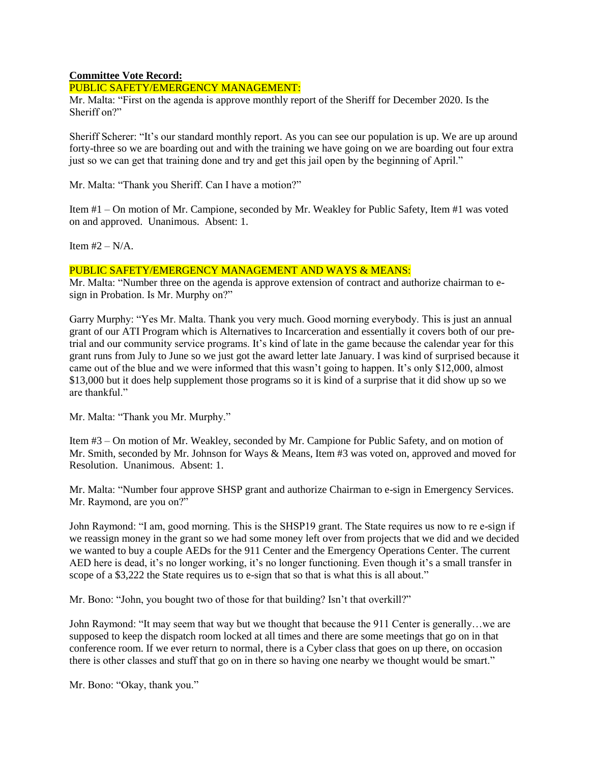# **Committee Vote Record:**

#### PUBLIC SAFETY/EMERGENCY MANAGEMENT:

Mr. Malta: "First on the agenda is approve monthly report of the Sheriff for December 2020. Is the Sheriff on?"

Sheriff Scherer: "It's our standard monthly report. As you can see our population is up. We are up around forty-three so we are boarding out and with the training we have going on we are boarding out four extra just so we can get that training done and try and get this jail open by the beginning of April."

Mr. Malta: "Thank you Sheriff. Can I have a motion?"

Item #1 – On motion of Mr. Campione, seconded by Mr. Weakley for Public Safety, Item #1 was voted on and approved. Unanimous. Absent: 1.

Item  $#2 - N/A$ .

## PUBLIC SAFETY/EMERGENCY MANAGEMENT AND WAYS & MEANS:

Mr. Malta: "Number three on the agenda is approve extension of contract and authorize chairman to esign in Probation. Is Mr. Murphy on?"

Garry Murphy: "Yes Mr. Malta. Thank you very much. Good morning everybody. This is just an annual grant of our ATI Program which is Alternatives to Incarceration and essentially it covers both of our pretrial and our community service programs. It's kind of late in the game because the calendar year for this grant runs from July to June so we just got the award letter late January. I was kind of surprised because it came out of the blue and we were informed that this wasn't going to happen. It's only \$12,000, almost \$13,000 but it does help supplement those programs so it is kind of a surprise that it did show up so we are thankful."

Mr. Malta: "Thank you Mr. Murphy."

Item #3 – On motion of Mr. Weakley, seconded by Mr. Campione for Public Safety, and on motion of Mr. Smith, seconded by Mr. Johnson for Ways & Means, Item #3 was voted on, approved and moved for Resolution. Unanimous. Absent: 1.

Mr. Malta: "Number four approve SHSP grant and authorize Chairman to e-sign in Emergency Services. Mr. Raymond, are you on?"

John Raymond: "I am, good morning. This is the SHSP19 grant. The State requires us now to re e-sign if we reassign money in the grant so we had some money left over from projects that we did and we decided we wanted to buy a couple AEDs for the 911 Center and the Emergency Operations Center. The current AED here is dead, it's no longer working, it's no longer functioning. Even though it's a small transfer in scope of a \$3,222 the State requires us to e-sign that so that is what this is all about."

Mr. Bono: "John, you bought two of those for that building? Isn't that overkill?"

John Raymond: "It may seem that way but we thought that because the 911 Center is generally…we are supposed to keep the dispatch room locked at all times and there are some meetings that go on in that conference room. If we ever return to normal, there is a Cyber class that goes on up there, on occasion there is other classes and stuff that go on in there so having one nearby we thought would be smart."

Mr. Bono: "Okay, thank you."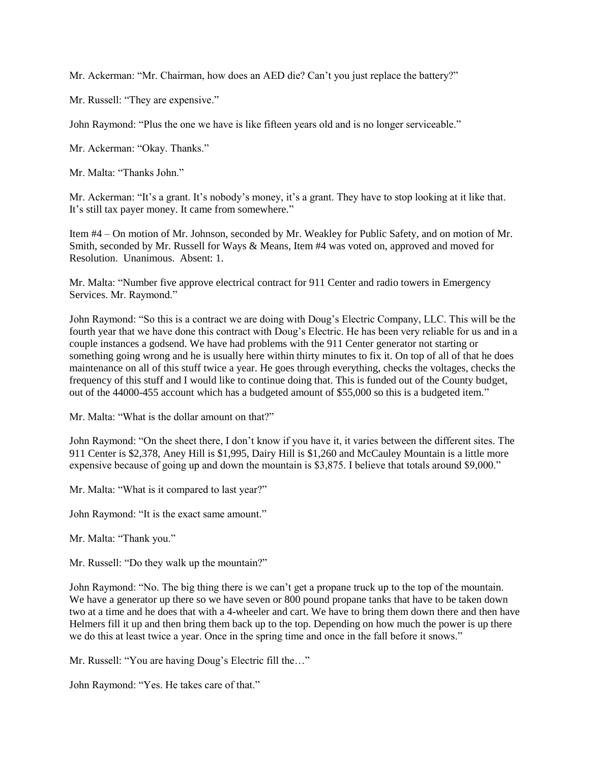Mr. Ackerman: "Mr. Chairman, how does an AED die? Can't you just replace the battery?"

Mr. Russell: "They are expensive."

John Raymond: "Plus the one we have is like fifteen years old and is no longer serviceable."

Mr. Ackerman: "Okay. Thanks."

Mr. Malta: "Thanks John."

Mr. Ackerman: "It's a grant. It's nobody's money, it's a grant. They have to stop looking at it like that. It's still tax payer money. It came from somewhere."

Item #4 – On motion of Mr. Johnson, seconded by Mr. Weakley for Public Safety, and on motion of Mr. Smith, seconded by Mr. Russell for Ways & Means, Item #4 was voted on, approved and moved for Resolution. Unanimous. Absent: 1.

Mr. Malta: "Number five approve electrical contract for 911 Center and radio towers in Emergency Services. Mr. Raymond."

John Raymond: "So this is a contract we are doing with Doug's Electric Company, LLC. This will be the fourth year that we have done this contract with Doug's Electric. He has been very reliable for us and in a couple instances a godsend. We have had problems with the 911 Center generator not starting or something going wrong and he is usually here within thirty minutes to fix it. On top of all of that he does maintenance on all of this stuff twice a year. He goes through everything, checks the voltages, checks the frequency of this stuff and I would like to continue doing that. This is funded out of the County budget, out of the 44000-455 account which has a budgeted amount of \$55,000 so this is a budgeted item."

Mr. Malta: "What is the dollar amount on that?"

John Raymond: "On the sheet there, I don't know if you have it, it varies between the different sites. The 911 Center is \$2,378, Aney Hill is \$1,995, Dairy Hill is \$1,260 and McCauley Mountain is a little more expensive because of going up and down the mountain is \$3,875. I believe that totals around \$9,000."

Mr. Malta: "What is it compared to last year?"

John Raymond: "It is the exact same amount."

Mr. Malta: "Thank you."

Mr. Russell: "Do they walk up the mountain?"

John Raymond: "No. The big thing there is we can't get a propane truck up to the top of the mountain. We have a generator up there so we have seven or 800 pound propane tanks that have to be taken down two at a time and he does that with a 4-wheeler and cart. We have to bring them down there and then have Helmers fill it up and then bring them back up to the top. Depending on how much the power is up there we do this at least twice a year. Once in the spring time and once in the fall before it snows."

Mr. Russell: "You are having Doug's Electric fill the…"

John Raymond: "Yes. He takes care of that."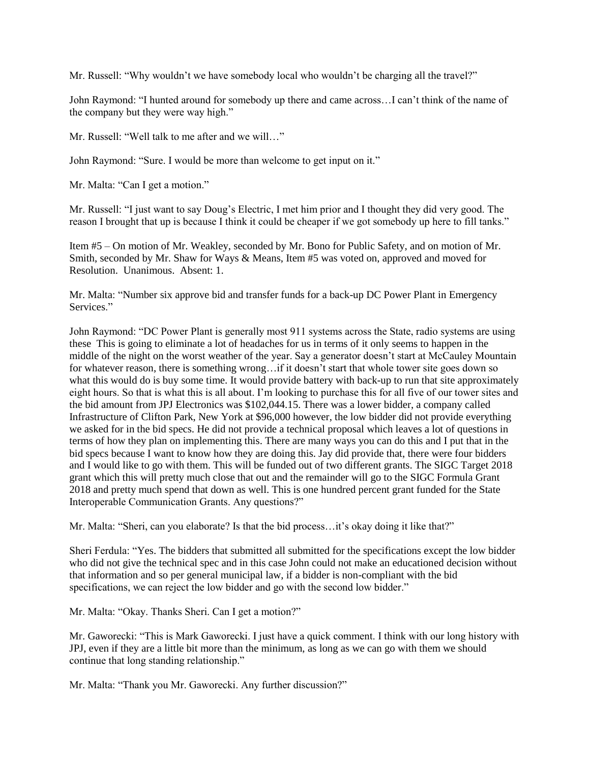Mr. Russell: "Why wouldn't we have somebody local who wouldn't be charging all the travel?"

John Raymond: "I hunted around for somebody up there and came across…I can't think of the name of the company but they were way high."

Mr. Russell: "Well talk to me after and we will…"

John Raymond: "Sure. I would be more than welcome to get input on it."

Mr. Malta: "Can I get a motion."

Mr. Russell: "I just want to say Doug's Electric, I met him prior and I thought they did very good. The reason I brought that up is because I think it could be cheaper if we got somebody up here to fill tanks."

Item #5 – On motion of Mr. Weakley, seconded by Mr. Bono for Public Safety, and on motion of Mr. Smith, seconded by Mr. Shaw for Ways & Means, Item #5 was voted on, approved and moved for Resolution. Unanimous. Absent: 1.

Mr. Malta: "Number six approve bid and transfer funds for a back-up DC Power Plant in Emergency Services."

John Raymond: "DC Power Plant is generally most 911 systems across the State, radio systems are using these This is going to eliminate a lot of headaches for us in terms of it only seems to happen in the middle of the night on the worst weather of the year. Say a generator doesn't start at McCauley Mountain for whatever reason, there is something wrong...if it doesn't start that whole tower site goes down so what this would do is buy some time. It would provide battery with back-up to run that site approximately eight hours. So that is what this is all about. I'm looking to purchase this for all five of our tower sites and the bid amount from JPJ Electronics was \$102,044.15. There was a lower bidder, a company called Infrastructure of Clifton Park, New York at \$96,000 however, the low bidder did not provide everything we asked for in the bid specs. He did not provide a technical proposal which leaves a lot of questions in terms of how they plan on implementing this. There are many ways you can do this and I put that in the bid specs because I want to know how they are doing this. Jay did provide that, there were four bidders and I would like to go with them. This will be funded out of two different grants. The SIGC Target 2018 grant which this will pretty much close that out and the remainder will go to the SIGC Formula Grant 2018 and pretty much spend that down as well. This is one hundred percent grant funded for the State Interoperable Communication Grants. Any questions?"

Mr. Malta: "Sheri, can you elaborate? Is that the bid process...it's okay doing it like that?"

Sheri Ferdula: "Yes. The bidders that submitted all submitted for the specifications except the low bidder who did not give the technical spec and in this case John could not make an educationed decision without that information and so per general municipal law, if a bidder is non-compliant with the bid specifications, we can reject the low bidder and go with the second low bidder."

Mr. Malta: "Okay. Thanks Sheri. Can I get a motion?"

Mr. Gaworecki: "This is Mark Gaworecki. I just have a quick comment. I think with our long history with JPJ, even if they are a little bit more than the minimum, as long as we can go with them we should continue that long standing relationship."

Mr. Malta: "Thank you Mr. Gaworecki. Any further discussion?"